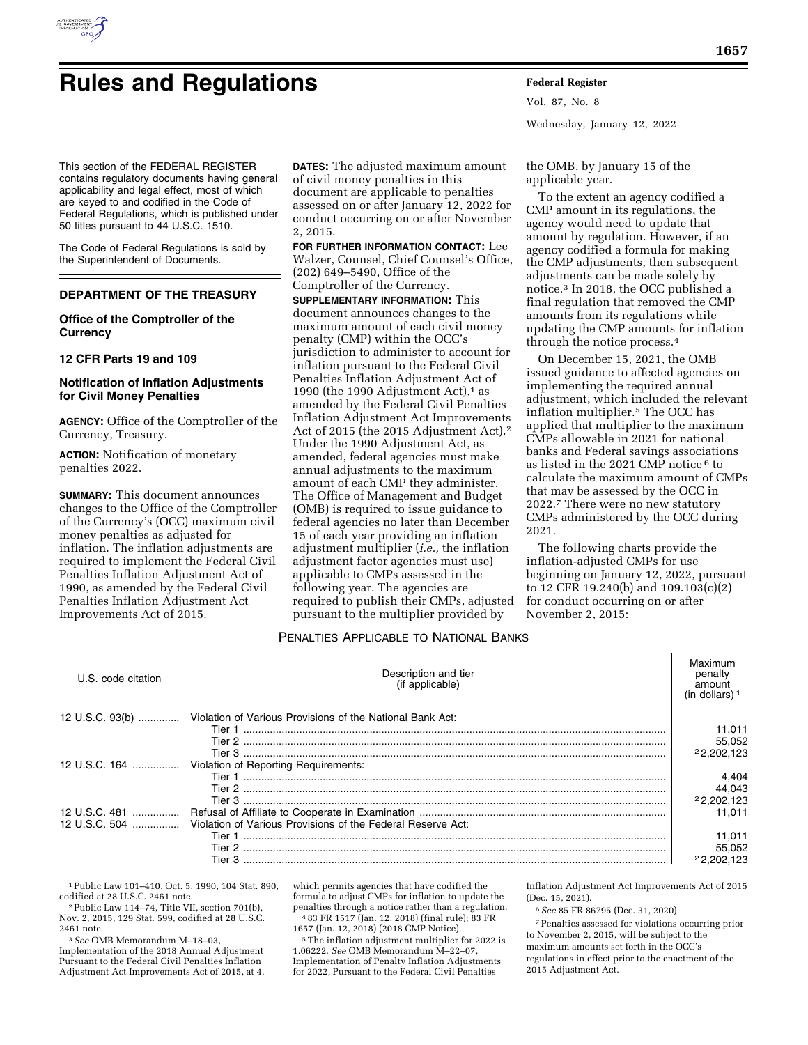

# **Rules and Regulations Federal Register**

Vol. 87, No. 8 Wednesday, January 12, 2022

This section of the FEDERAL REGISTER contains regulatory documents having general applicability and legal effect, most of which are keyed to and codified in the Code of Federal Regulations, which is published under 50 titles pursuant to 44 U.S.C. 1510.

The Code of Federal Regulations is sold by the Superintendent of Documents.

# **DEPARTMENT OF THE TREASURY**

# **Office of the Comptroller of the Currency**

# **12 CFR Parts 19 and 109**

# **Notification of Inflation Adjustments for Civil Money Penalties**

**AGENCY:** Office of the Comptroller of the Currency, Treasury.

**ACTION:** Notification of monetary penalties 2022.

**SUMMARY:** This document announces changes to the Office of the Comptroller of the Currency's (OCC) maximum civil money penalties as adjusted for inflation. The inflation adjustments are required to implement the Federal Civil Penalties Inflation Adjustment Act of 1990, as amended by the Federal Civil Penalties Inflation Adjustment Act Improvements Act of 2015.

**DATES:** The adjusted maximum amount of civil money penalties in this document are applicable to penalties assessed on or after January 12, 2022 for conduct occurring on or after November 2, 2015.

**FOR FURTHER INFORMATION CONTACT:** Lee Walzer, Counsel, Chief Counsel's Office, (202) 649–5490, Office of the Comptroller of the Currency.

**SUPPLEMENTARY INFORMATION:** This document announces changes to the maximum amount of each civil money penalty (CMP) within the OCC's jurisdiction to administer to account for inflation pursuant to the Federal Civil Penalties Inflation Adjustment Act of 1990 (the 1990 Adjustment Act), $1$  as amended by the Federal Civil Penalties Inflation Adjustment Act Improvements Act of 2015 (the 2015 Adjustment Act).2 Under the 1990 Adjustment Act, as amended, federal agencies must make annual adjustments to the maximum amount of each CMP they administer. The Office of Management and Budget (OMB) is required to issue guidance to federal agencies no later than December 15 of each year providing an inflation adjustment multiplier (*i.e.,* the inflation adjustment factor agencies must use) applicable to CMPs assessed in the following year. The agencies are required to publish their CMPs, adjusted pursuant to the multiplier provided by

the OMB, by January 15 of the applicable year.

To the extent an agency codified a CMP amount in its regulations, the agency would need to update that amount by regulation. However, if an agency codified a formula for making the CMP adjustments, then subsequent adjustments can be made solely by notice.3 In 2018, the OCC published a final regulation that removed the CMP amounts from its regulations while updating the CMP amounts for inflation through the notice process.4

On December 15, 2021, the OMB issued guidance to affected agencies on implementing the required annual adjustment, which included the relevant inflation multiplier.5 The OCC has applied that multiplier to the maximum CMPs allowable in 2021 for national banks and Federal savings associations as listed in the 2021 CMP notice 6 to calculate the maximum amount of CMPs that may be assessed by the OCC in 2022.7 There were no new statutory CMPs administered by the OCC during 2021.

The following charts provide the inflation-adjusted CMPs for use beginning on January 12, 2022, pursuant to 12 CFR 19.240(b) and 109.103(c)(2) for conduct occurring on or after November 2, 2015:

# PENALTIES APPLICABLE TO NATIONAL BANKS

| U.S. code citation | Description and tier<br>(if applicable)                     | Maximum<br>penalty<br>amount<br>(in dollars) |
|--------------------|-------------------------------------------------------------|----------------------------------------------|
| 12 U.S.C. 93(b)    | Violation of Various Provisions of the National Bank Act:   |                                              |
|                    |                                                             | 11,011                                       |
|                    |                                                             | 55,052                                       |
|                    |                                                             | 22.202.123                                   |
| 12 U.S.C. 164      | Violation of Reporting Requirements:                        |                                              |
|                    |                                                             | 4.404                                        |
|                    |                                                             | 44,043                                       |
|                    |                                                             | 22,202,123                                   |
| 12 U.S.C. 481      |                                                             | 11.011                                       |
| 12 U.S.C. 504      | Violation of Various Provisions of the Federal Reserve Act: |                                              |
|                    | Tier 1                                                      | 11.011                                       |
|                    |                                                             | 55,052                                       |
|                    | Tier 3                                                      | 22.202.123                                   |
|                    |                                                             |                                              |

<sup>1</sup>Public Law 101–410, Oct. 5, 1990, 104 Stat. 890, codified at 28 U.S.C. 2461 note.

3*See* OMB Memorandum M–18–03,

Implementation of the 2018 Annual Adjustment Pursuant to the Federal Civil Penalties Inflation Adjustment Act Improvements Act of 2015, at 4, which permits agencies that have codified the formula to adjust CMPs for inflation to update the penalties through a notice rather than a regulation. 4 83 FR 1517 (Jan. 12, 2018) (final rule); 83 FR

1657 (Jan. 12, 2018) (2018 CMP Notice).

5The inflation adjustment multiplier for 2022 is 1.06222. *See* OMB Memorandum M–22–07, Implementation of Penalty Inflation Adjustments for 2022, Pursuant to the Federal Civil Penalties

Inflation Adjustment Act Improvements Act of 2015 (Dec. 15, 2021).

6*See* 85 FR 86795 (Dec. 31, 2020).

7Penalties assessed for violations occurring prior to November 2, 2015, will be subject to the

maximum amounts set forth in the OCC's

regulations in effect prior to the enactment of the 2015 Adjustment Act.

<sup>&</sup>lt;sup>2</sup> Public Law 114–74, Title VII, section 701(b), Nov. 2, 2015, 129 Stat. 599, codified at 28 U.S.C. 2461 note.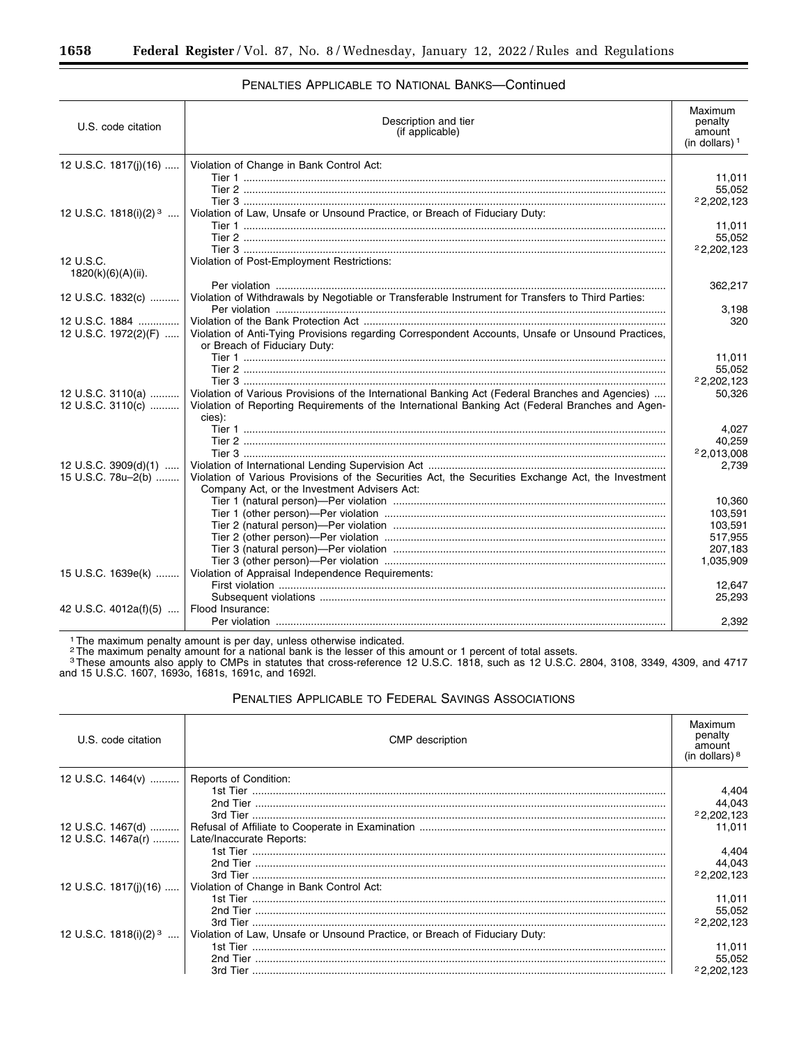| U.S. code citation                | Description and tier<br>(if applicable)                                                                    | Maximum<br>penalty<br>amount<br>(in dollars) $1$ |
|-----------------------------------|------------------------------------------------------------------------------------------------------------|--------------------------------------------------|
| 12 U.S.C. 1817(j)(16)             | Violation of Change in Bank Control Act:                                                                   |                                                  |
|                                   |                                                                                                            | 11,011                                           |
|                                   |                                                                                                            | 55,052                                           |
|                                   |                                                                                                            | 22,202,123                                       |
| 12 U.S.C. 1818(i)(2) <sup>3</sup> | Violation of Law, Unsafe or Unsound Practice, or Breach of Fiduciary Duty:                                 |                                                  |
|                                   |                                                                                                            | 11,011                                           |
|                                   |                                                                                                            | 55,052                                           |
|                                   |                                                                                                            | 22,202,123                                       |
| 12 U.S.C.                         | Violation of Post-Employment Restrictions:                                                                 |                                                  |
| 1820(k)(6)(A)(ii).                |                                                                                                            |                                                  |
|                                   | Violation of Withdrawals by Negotiable or Transferable Instrument for Transfers to Third Parties:          | 362,217                                          |
| 12 U.S.C. 1832(c)                 |                                                                                                            | 3,198                                            |
| 12 U.S.C. 1884                    |                                                                                                            | 320                                              |
| 12 U.S.C. 1972(2)(F)              | Violation of Anti-Tying Provisions regarding Correspondent Accounts, Unsafe or Unsound Practices,          |                                                  |
|                                   | or Breach of Fiduciary Duty:                                                                               |                                                  |
|                                   |                                                                                                            | 11,011                                           |
|                                   |                                                                                                            | 55,052                                           |
|                                   |                                                                                                            | 22,202,123                                       |
| 12 U.S.C. 3110(a)                 | Violation of Various Provisions of the International Banking Act (Federal Branches and Agencies)           | 50,326                                           |
| 12 U.S.C. 3110(c)                 | Violation of Reporting Requirements of the International Banking Act (Federal Branches and Agen-<br>cies): |                                                  |
|                                   |                                                                                                            | 4,027                                            |
|                                   |                                                                                                            | 40,259                                           |
|                                   |                                                                                                            | 22,013,008                                       |
| 12 U.S.C. 3909(d)(1)              |                                                                                                            | 2,739                                            |
| 15 U.S.C. 78u-2(b)                | Violation of Various Provisions of the Securities Act, the Securities Exchange Act, the Investment         |                                                  |
|                                   | Company Act, or the Investment Advisers Act:                                                               |                                                  |
|                                   |                                                                                                            | 10.360                                           |
|                                   |                                                                                                            | 103.591                                          |
|                                   |                                                                                                            | 103,591                                          |
|                                   |                                                                                                            | 517,955                                          |
|                                   |                                                                                                            | 207,183                                          |
|                                   |                                                                                                            | 1,035,909                                        |
| 15 U.S.C. 1639e(k)                | Violation of Appraisal Independence Requirements:                                                          |                                                  |
|                                   |                                                                                                            | 12.647                                           |
|                                   |                                                                                                            | 25,293                                           |
| 42 U.S.C. 4012a(f)(5)             | Flood Insurance:                                                                                           | 2.392                                            |
|                                   |                                                                                                            |                                                  |

# PENALTIES APPLICABLE TO NATIONAL BANKS—Continued

<sup>1</sup> The maximum penalty amount is per day, unless otherwise indicated.

<sup>2</sup>The maximum penalty amount for a national bank is the lesser of this amount or 1 percent of total assets.

3These amounts also apply to CMPs in statutes that cross-reference 12 U.S.C. 1818, such as 12 U.S.C. 2804, 3108, 3349, 4309, and 4717 and 15 U.S.C. 1607, 1693o, 1681s, 1691c, and 1692l.

# PENALTIES APPLICABLE TO FEDERAL SAVINGS ASSOCIATIONS

| U.S. code citation                             | <b>CMP</b> description                                                     | Maximum<br>penalty<br>amount<br>(in dollars) $8$ |
|------------------------------------------------|----------------------------------------------------------------------------|--------------------------------------------------|
| 12 U.S.C. 1464(v)    Reports of Condition:     |                                                                            |                                                  |
|                                                |                                                                            | 4.404                                            |
|                                                |                                                                            | 44,043                                           |
|                                                |                                                                            | 22,202,123                                       |
|                                                |                                                                            | 11.011                                           |
| 12 U.S.C. 1467a(r)    Late/Inaccurate Reports: |                                                                            |                                                  |
|                                                |                                                                            | 4,404                                            |
|                                                |                                                                            | 44,043                                           |
|                                                |                                                                            | 22,202,123                                       |
| 12 U.S.C. 1817(i)(16)                          | Violation of Change in Bank Control Act:                                   |                                                  |
|                                                |                                                                            | 11,011                                           |
|                                                |                                                                            | 55,052                                           |
|                                                |                                                                            | 22,202,123                                       |
| 12 U.S.C. 1818(i)(2) <sup>3</sup>              | Violation of Law, Unsafe or Unsound Practice, or Breach of Fiduciary Duty: |                                                  |
|                                                |                                                                            | 11.011                                           |
|                                                |                                                                            | 55,052                                           |
|                                                |                                                                            | 22,202,123                                       |